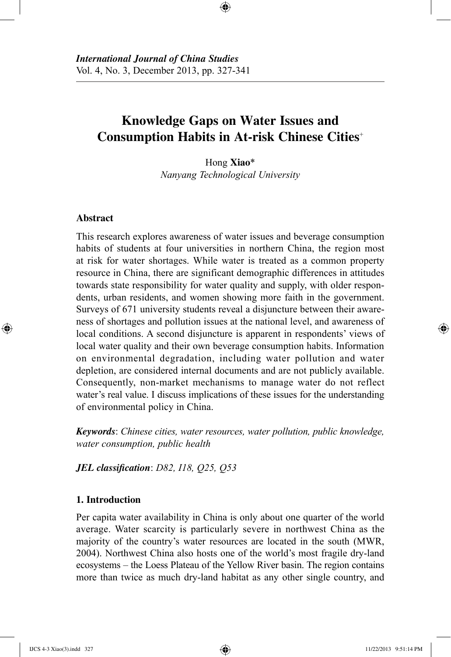# **Knowledge Gaps on Water Issues and Consumption Habits in At-risk Chinese Cities**<sup>+</sup>

⊕

Hong **Xiao**\* *Nanyang Technological University*

# **Abstract**

⊕

This research explores awareness of water issues and beverage consumption habits of students at four universities in northern China, the region most at risk for water shortages. While water is treated as a common property resource in China, there are significant demographic differences in attitudes towards state responsibility for water quality and supply, with older respondents, urban residents, and women showing more faith in the government. Surveys of 671 university students reveal a disjuncture between their awareness of shortages and pollution issues at the national level, and awareness of local conditions. A second disjuncture is apparent in respondents' views of local water quality and their own beverage consumption habits. Information on environmental degradation, including water pollution and water depletion, are considered internal documents and are not publicly available. Consequently, non-market mechanisms to manage water do not reflect water's real value. I discuss implications of these issues for the understanding of environmental policy in China.

*Keywords*: *Chinese cities, water resources, water pollution, public knowledge, water consumption, public health*

*JEL classification*: *D82, I18, Q25, Q53*

# **1. Introduction**

Per capita water availability in China is only about one quarter of the world average. Water scarcity is particularly severe in northwest China as the majority of the country's water resources are located in the south (MWR, 2004). Northwest China also hosts one of the world's most fragile dry-land ecosystems – the Loess Plateau of the Yellow River basin. The region contains more than twice as much dry-land habitat as any other single country, and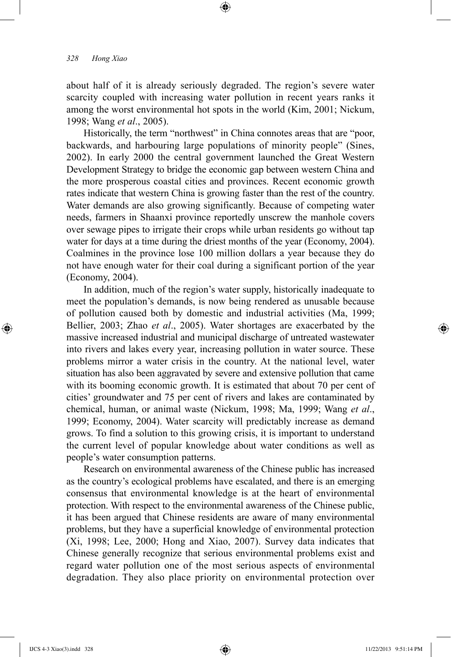about half of it is already seriously degraded. The region's severe water scarcity coupled with increasing water pollution in recent years ranks it among the worst environmental hot spots in the world (Kim, 2001; Nickum, 1998; Wang *et al*., 2005).

⊕

Historically, the term "northwest" in China connotes areas that are "poor, backwards, and harbouring large populations of minority people" (Sines, 2002). In early 2000 the central government launched the Great Western Development Strategy to bridge the economic gap between western China and the more prosperous coastal cities and provinces. Recent economic growth rates indicate that western China is growing faster than the rest of the country. Water demands are also growing significantly. Because of competing water needs, farmers in Shaanxi province reportedly unscrew the manhole covers over sewage pipes to irrigate their crops while urban residents go without tap water for days at a time during the driest months of the year (Economy, 2004). Coalmines in the province lose 100 million dollars a year because they do not have enough water for their coal during a significant portion of the year (Economy, 2004).

In addition, much of the region's water supply, historically inadequate to meet the population's demands, is now being rendered as unusable because of pollution caused both by domestic and industrial activities (Ma, 1999; Bellier, 2003; Zhao *et al*., 2005). Water shortages are exacerbated by the massive increased industrial and municipal discharge of untreated wastewater into rivers and lakes every year, increasing pollution in water source. These problems mirror a water crisis in the country. At the national level, water situation has also been aggravated by severe and extensive pollution that came with its booming economic growth. It is estimated that about 70 per cent of cities' groundwater and 75 per cent of rivers and lakes are contaminated by chemical, human, or animal waste (Nickum, 1998; Ma, 1999; Wang *et al*., 1999; Economy, 2004). Water scarcity will predictably increase as demand grows. To find a solution to this growing crisis, it is important to understand the current level of popular knowledge about water conditions as well as people's water consumption patterns.

Research on environmental awareness of the Chinese public has increased as the country's ecological problems have escalated, and there is an emerging consensus that environmental knowledge is at the heart of environmental protection. With respect to the environmental awareness of the Chinese public, it has been argued that Chinese residents are aware of many environmental problems, but they have a superficial knowledge of environmental protection (Xi, 1998; Lee, 2000; Hong and Xiao, 2007). Survey data indicates that Chinese generally recognize that serious environmental problems exist and regard water pollution one of the most serious aspects of environmental degradation. They also place priority on environmental protection over

⊕

↔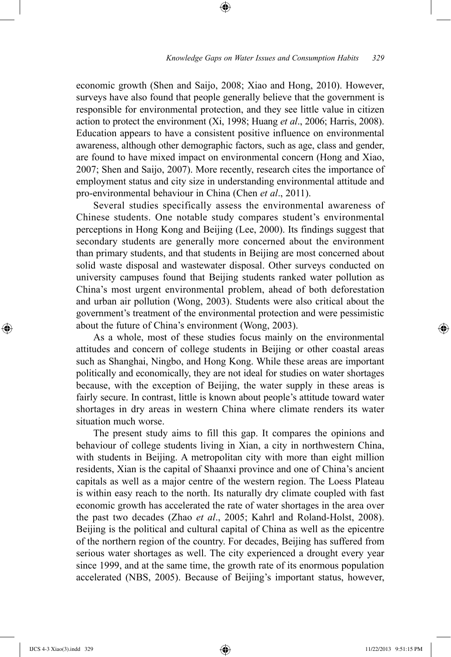economic growth (Shen and Saijo, 2008; Xiao and Hong, 2010). However, surveys have also found that people generally believe that the government is responsible for environmental protection, and they see little value in citizen action to protect the environment (Xi, 1998; Huang *et al*., 2006; Harris, 2008). Education appears to have a consistent positive influence on environmental awareness, although other demographic factors, such as age, class and gender, are found to have mixed impact on environmental concern (Hong and Xiao, 2007; Shen and Saijo, 2007). More recently, research cites the importance of employment status and city size in understanding environmental attitude and pro-environmental behaviour in China (Chen *et al*., 2011).

⊕

Several studies specifically assess the environmental awareness of Chinese students. One notable study compares student's environmental perceptions in Hong Kong and Beijing (Lee, 2000). Its findings suggest that secondary students are generally more concerned about the environment than primary students, and that students in Beijing are most concerned about solid waste disposal and wastewater disposal. Other surveys conducted on university campuses found that Beijing students ranked water pollution as China's most urgent environmental problem, ahead of both deforestation and urban air pollution (Wong, 2003). Students were also critical about the government's treatment of the environmental protection and were pessimistic about the future of China's environment (Wong, 2003).

As a whole, most of these studies focus mainly on the environmental attitudes and concern of college students in Beijing or other coastal areas such as Shanghai, Ningbo, and Hong Kong. While these areas are important politically and economically, they are not ideal for studies on water shortages because, with the exception of Beijing, the water supply in these areas is fairly secure. In contrast, little is known about people's attitude toward water shortages in dry areas in western China where climate renders its water situation much worse.

The present study aims to fill this gap. It compares the opinions and behaviour of college students living in Xian, a city in northwestern China, with students in Beijing. A metropolitan city with more than eight million residents, Xian is the capital of Shaanxi province and one of China's ancient capitals as well as a major centre of the western region. The Loess Plateau is within easy reach to the north. Its naturally dry climate coupled with fast economic growth has accelerated the rate of water shortages in the area over the past two decades (Zhao *et al*., 2005; Kahrl and Roland-Holst, 2008). Beijing is the political and cultural capital of China as well as the epicentre of the northern region of the country. For decades, Beijing has suffered from serious water shortages as well. The city experienced a drought every year since 1999, and at the same time, the growth rate of its enormous population accelerated (NBS, 2005). Because of Beijing's important status, however,

⊕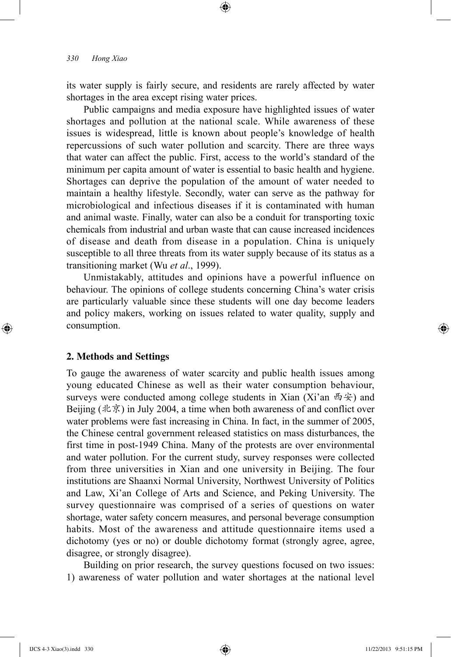its water supply is fairly secure, and residents are rarely affected by water shortages in the area except rising water prices.

⊕

Public campaigns and media exposure have highlighted issues of water shortages and pollution at the national scale. While awareness of these issues is widespread, little is known about people's knowledge of health repercussions of such water pollution and scarcity. There are three ways that water can affect the public. First, access to the world's standard of the minimum per capita amount of water is essential to basic health and hygiene. Shortages can deprive the population of the amount of water needed to maintain a healthy lifestyle. Secondly, water can serve as the pathway for microbiological and infectious diseases if it is contaminated with human and animal waste. Finally, water can also be a conduit for transporting toxic chemicals from industrial and urban waste that can cause increased incidences of disease and death from disease in a population. China is uniquely susceptible to all three threats from its water supply because of its status as a transitioning market (Wu *et al*., 1999).

Unmistakably, attitudes and opinions have a powerful influence on behaviour. The opinions of college students concerning China's water crisis are particularly valuable since these students will one day become leaders and policy makers, working on issues related to water quality, supply and consumption.

#### **2. Methods and Settings**

⊕

To gauge the awareness of water scarcity and public health issues among young educated Chinese as well as their water consumption behaviour, surveys were conducted among college students in Xian (Xi'an 西安) and Beijing (北京) in July 2004, a time when both awareness of and conflict over water problems were fast increasing in China. In fact, in the summer of 2005, the Chinese central government released statistics on mass disturbances, the first time in post-1949 China. Many of the protests are over environmental and water pollution. For the current study, survey responses were collected from three universities in Xian and one university in Beijing. The four institutions are Shaanxi Normal University, Northwest University of Politics and Law, Xi'an College of Arts and Science, and Peking University. The survey questionnaire was comprised of a series of questions on water shortage, water safety concern measures, and personal beverage consumption habits. Most of the awareness and attitude questionnaire items used a dichotomy (yes or no) or double dichotomy format (strongly agree, agree, disagree, or strongly disagree).

Building on prior research, the survey questions focused on two issues: 1) awareness of water pollution and water shortages at the national level

IJCS 4-3 Xiao(3).indd 330 11/22/2013 9:51:15 PM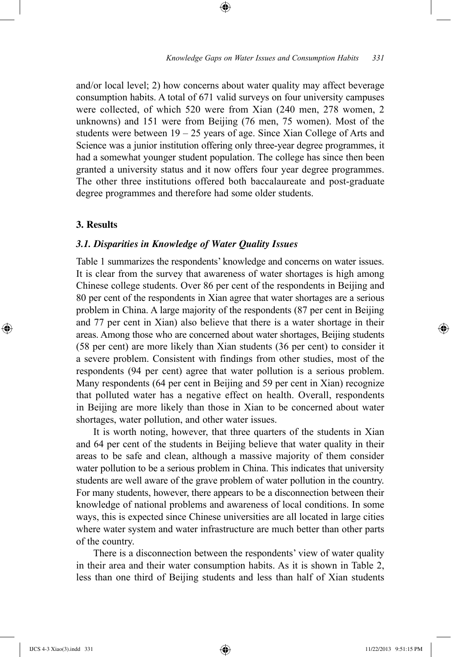and/or local level; 2) how concerns about water quality may affect beverage consumption habits. A total of 671 valid surveys on four university campuses were collected, of which 520 were from Xian (240 men, 278 women, 2 unknowns) and 151 were from Beijing (76 men, 75 women). Most of the students were between 19 – 25 years of age. Since Xian College of Arts and Science was a junior institution offering only three-year degree programmes, it had a somewhat younger student population. The college has since then been granted a university status and it now offers four year degree programmes. The other three institutions offered both baccalaureate and post-graduate degree programmes and therefore had some older students.

⊕

# **3. Results**

⊕

# *3.1. Disparities in Knowledge of Water Quality Issues*

Table 1 summarizes the respondents' knowledge and concerns on water issues. It is clear from the survey that awareness of water shortages is high among Chinese college students. Over 86 per cent of the respondents in Beijing and 80 per cent of the respondents in Xian agree that water shortages are a serious problem in China. A large majority of the respondents (87 per cent in Beijing and 77 per cent in Xian) also believe that there is a water shortage in their areas. Among those who are concerned about water shortages, Beijing students (58 per cent) are more likely than Xian students (36 per cent) to consider it a severe problem. Consistent with findings from other studies, most of the respondents (94 per cent) agree that water pollution is a serious problem. Many respondents (64 per cent in Beijing and 59 per cent in Xian) recognize that polluted water has a negative effect on health. Overall, respondents in Beijing are more likely than those in Xian to be concerned about water shortages, water pollution, and other water issues.

It is worth noting, however, that three quarters of the students in Xian and 64 per cent of the students in Beijing believe that water quality in their areas to be safe and clean, although a massive majority of them consider water pollution to be a serious problem in China. This indicates that university students are well aware of the grave problem of water pollution in the country. For many students, however, there appears to be a disconnection between their knowledge of national problems and awareness of local conditions. In some ways, this is expected since Chinese universities are all located in large cities where water system and water infrastructure are much better than other parts of the country.

There is a disconnection between the respondents' view of water quality in their area and their water consumption habits. As it is shown in Table 2, less than one third of Beijing students and less than half of Xian students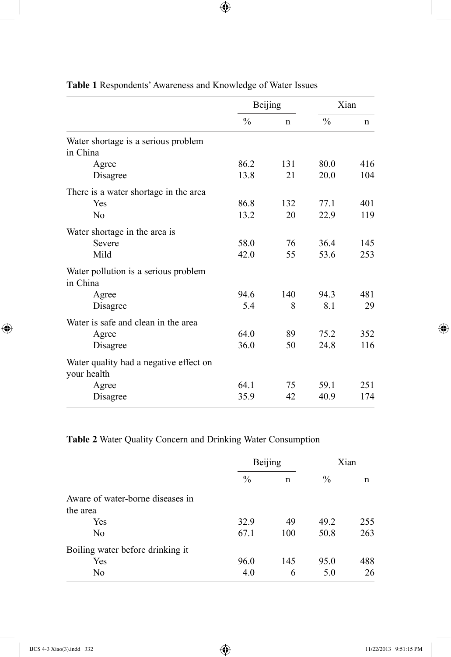|                                                       | Beijing       |     | Xian          |             |
|-------------------------------------------------------|---------------|-----|---------------|-------------|
|                                                       | $\frac{0}{0}$ | n   | $\frac{0}{0}$ | $\mathbf n$ |
| Water shortage is a serious problem<br>in China       |               |     |               |             |
| Agree                                                 | 86.2          | 131 | 80.0          | 416         |
| Disagree                                              | 13.8          | 21  | 20.0          | 104         |
| There is a water shortage in the area                 |               |     |               |             |
| Yes                                                   | 86.8          | 132 | 77.1          | 401         |
| No                                                    | 13.2          | 20  | 22.9          | 119         |
| Water shortage in the area is                         |               |     |               |             |
| Severe                                                | 58.0          | 76  | 36.4          | 145         |
| Mild                                                  | 42.0          | 55  | 53.6          | 253         |
| Water pollution is a serious problem<br>in China      |               |     |               |             |
| Agree                                                 | 94.6          | 140 | 94.3          | 481         |
| Disagree                                              | 5.4           | 8   | 8.1           | 29          |
| Water is safe and clean in the area                   |               |     |               |             |
| Agree                                                 | 64.0          | 89  | 75.2          | 352         |
| Disagree                                              | 36.0          | 50  | 24.8          | 116         |
| Water quality had a negative effect on<br>your health |               |     |               |             |
| Agree                                                 | 64.1          | 75  | 59.1          | 251         |
| Disagree                                              | 35.9          | 42  | 40.9          | 174         |

**Table 1** Respondents' Awareness and Knowledge of Water Issues

 $\bigoplus$ 

# **Table 2** Water Quality Concern and Drinking Water Consumption

|                                  |               | Beijing |               | Xian |  |
|----------------------------------|---------------|---------|---------------|------|--|
|                                  | $\frac{0}{0}$ | n       | $\frac{0}{0}$ | n    |  |
| Aware of water-borne diseases in |               |         |               |      |  |
| the area                         |               |         |               |      |  |
| Yes                              | 32.9          | 49      | 49.2          | 255  |  |
| N <sub>0</sub>                   | 67.1          | 100     | 50.8          | 263  |  |
| Boiling water before drinking it |               |         |               |      |  |
| Yes                              | 96.0          | 145     | 95.0          | 488  |  |
| N <sub>0</sub>                   | 4.0           | 6       | 5.0           | 26   |  |

 $\bigoplus$ 

 $\bigoplus$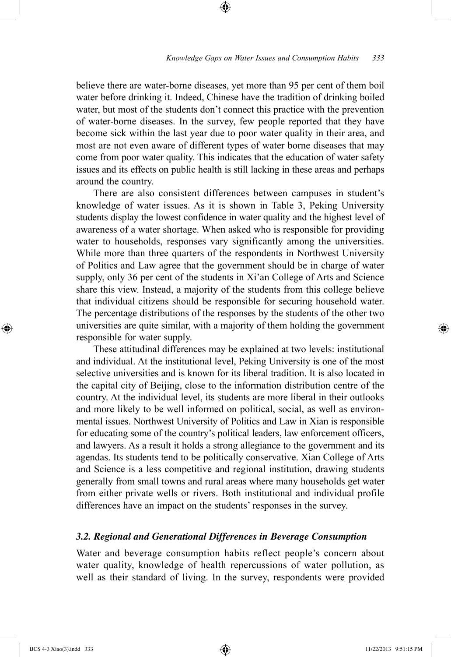believe there are water-borne diseases, yet more than 95 per cent of them boil water before drinking it. Indeed, Chinese have the tradition of drinking boiled water, but most of the students don't connect this practice with the prevention of water-borne diseases. In the survey, few people reported that they have become sick within the last year due to poor water quality in their area, and most are not even aware of different types of water borne diseases that may come from poor water quality. This indicates that the education of water safety issues and its effects on public health is still lacking in these areas and perhaps around the country.

⊕

There are also consistent differences between campuses in student's knowledge of water issues. As it is shown in Table 3, Peking University students display the lowest confidence in water quality and the highest level of awareness of a water shortage. When asked who is responsible for providing water to households, responses vary significantly among the universities. While more than three quarters of the respondents in Northwest University of Politics and Law agree that the government should be in charge of water supply, only 36 per cent of the students in Xi'an College of Arts and Science share this view. Instead, a majority of the students from this college believe that individual citizens should be responsible for securing household water. The percentage distributions of the responses by the students of the other two universities are quite similar, with a majority of them holding the government responsible for water supply.

These attitudinal differences may be explained at two levels: institutional and individual. At the institutional level, Peking University is one of the most selective universities and is known for its liberal tradition. It is also located in the capital city of Beijing, close to the information distribution centre of the country. At the individual level, its students are more liberal in their outlooks and more likely to be well informed on political, social, as well as environmental issues. Northwest University of Politics and Law in Xian is responsible for educating some of the country's political leaders, law enforcement officers, and lawyers. As a result it holds a strong allegiance to the government and its agendas. Its students tend to be politically conservative. Xian College of Arts and Science is a less competitive and regional institution, drawing students generally from small towns and rural areas where many households get water from either private wells or rivers. Both institutional and individual profile differences have an impact on the students' responses in the survey.

# *3.2. Regional and Generational Differences in Beverage Consumption*

Water and beverage consumption habits reflect people's concern about water quality, knowledge of health repercussions of water pollution, as well as their standard of living. In the survey, respondents were provided

⊕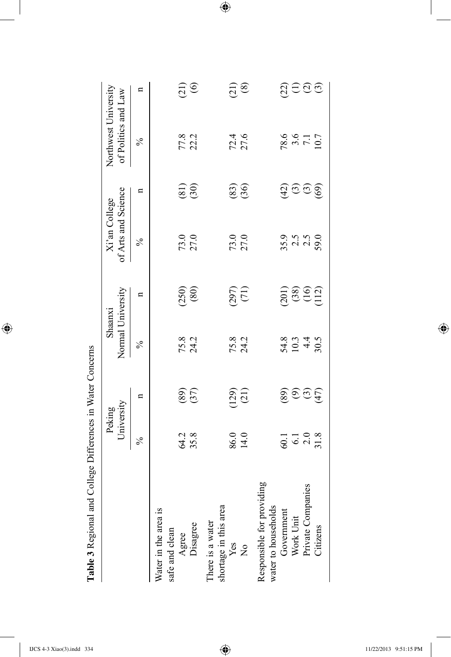| $\sim$ and $\sim$<br>$\zeta$<br>.<br>.<br>)<br> <br> <br> |
|-----------------------------------------------------------|
| ,<br>;<br>;                                               |
| $\overline{\phantom{a}}$<br>i<br>C                        |
| i<br>$-200 - 100$<br>$\ddot{\phantom{0}}$                 |
| $\ddot{\phantom{a}}$<br>١                                 |
| į                                                         |
| <b>Subdividual</b><br>֚<br>١                              |
|                                                           |
|                                                           |

 $\overline{\phantom{a}}$ 

 $\bigoplus$ 

|                                                     | University<br>Peking               |                   | Normal University<br>Shaanxi |                            | of Arts and Science<br>Xi'an College |                  | Northwest University<br>of Politics and Law |                                        |
|-----------------------------------------------------|------------------------------------|-------------------|------------------------------|----------------------------|--------------------------------------|------------------|---------------------------------------------|----------------------------------------|
|                                                     |                                    |                   |                              |                            |                                      |                  |                                             |                                        |
|                                                     | $\%$                               | E                 | $\lesssim$                   | $\mathbf{a}$               | $\frac{5}{6}$                        | $\mathbf{a}$     | $\frac{5}{6}$                               | $\mathbf{a}$                           |
| Water in the area is<br>safe and clean              |                                    |                   |                              |                            |                                      |                  |                                             |                                        |
| Agree                                               | 64.2<br>35.8                       |                   | $75.8$<br>24.2               |                            | 73.0<br>27.0                         |                  | 77.8<br>22.2                                |                                        |
| Disagree                                            |                                    | (37)              |                              | $(250)$<br>$(80)$          |                                      | (30)             |                                             | $\begin{pmatrix} 2 \\ 0 \end{pmatrix}$ |
| shortage in this area<br>$Y$ es<br>There is a water |                                    |                   |                              |                            |                                      |                  |                                             |                                        |
|                                                     | 86.0<br>14.0                       |                   | $75.8$<br>24.2               |                            | 73.0<br>27.0                         |                  | $72.4$<br>27.6                              |                                        |
| $\frac{1}{2}$                                       |                                    | $(\frac{29}{21})$ |                              | (11)                       |                                      | $(83)$<br>$(36)$ |                                             | $\left(\frac{1}{2}\right)$             |
| Responsible for providing<br>water to households    |                                    |                   |                              |                            |                                      |                  |                                             |                                        |
| Government                                          |                                    |                   |                              |                            |                                      |                  |                                             |                                        |
| Work Unit                                           | $60.1$<br>$6.1$<br>$2.0$<br>$31.8$ | මූ වතු ජි         | $24.9$<br>$24.9$<br>$30.5$   | $(38)$<br>$(38)$<br>$(12)$ | 35.9<br>25.9<br>39.0                 | <u>ସୁଚିତ୍ରୁ</u>  | 78.6<br>3.6<br>10.7<br>10.7                 | බූ ප ම ම                               |
| Private Companies                                   |                                    |                   |                              |                            |                                      |                  |                                             |                                        |
| Citizens                                            |                                    |                   |                              |                            |                                      |                  |                                             |                                        |

 $\bigoplus$ 

 $\overline{\phantom{a}}$ 

 $\bigoplus$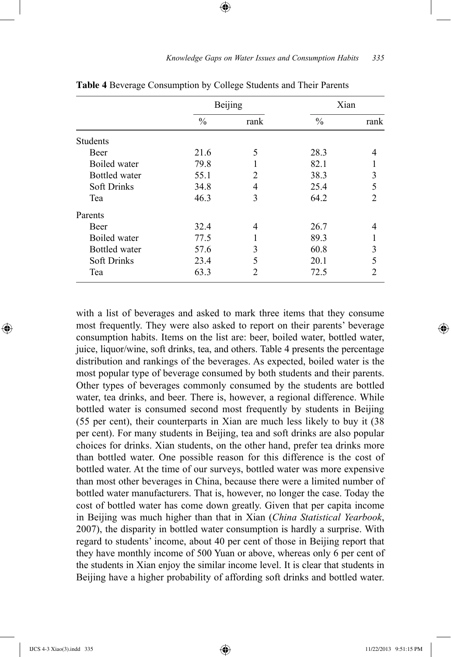| Table 4 Beverage Consumption by College Students and Their Parents |               |                             |               |                |  |
|--------------------------------------------------------------------|---------------|-----------------------------|---------------|----------------|--|
|                                                                    |               | Beijing                     | Xian          |                |  |
|                                                                    | $\frac{0}{0}$ | rank                        | $\frac{0}{0}$ | rank           |  |
| <b>Students</b>                                                    |               |                             |               |                |  |
| Beer                                                               | 21.6          | 5                           | 28.3          |                |  |
| Boiled water                                                       | 79.8          |                             | 82.1          |                |  |
| Bottled water                                                      | 55.1          | $\mathcal{D}_{\mathcal{A}}$ | 38.3          | 3              |  |
| <b>Soft Drinks</b>                                                 | 34.8          | 4                           | 25.4          | 5              |  |
| Tea                                                                | 46.3          | 3                           | 64.2          | $\mathfrak{D}$ |  |
| Parents                                                            |               |                             |               |                |  |
| Beer                                                               | 32.4          | 4                           | 26.7          |                |  |
| Boiled water                                                       | 77.5          |                             | 89.3          |                |  |
| Bottled water                                                      | 57.6          | 3                           | 60.8          | 3              |  |
| Soft Drinks                                                        | 23.4          | 5                           | 20.1          |                |  |

 $\textcircled{\scriptsize{+}}$ 

Tea 63.3 2 72.5 2

with a list of beverages and asked to mark three items that they consume most frequently. They were also asked to report on their parents' beverage consumption habits. Items on the list are: beer, boiled water, bottled water, juice, liquor/wine, soft drinks, tea, and others. Table 4 presents the percentage distribution and rankings of the beverages. As expected, boiled water is the most popular type of beverage consumed by both students and their parents. Other types of beverages commonly consumed by the students are bottled water, tea drinks, and beer. There is, however, a regional difference. While bottled water is consumed second most frequently by students in Beijing (55 per cent), their counterparts in Xian are much less likely to buy it (38 per cent). For many students in Beijing, tea and soft drinks are also popular choices for drinks. Xian students, on the other hand, prefer tea drinks more than bottled water. One possible reason for this difference is the cost of bottled water. At the time of our surveys, bottled water was more expensive than most other beverages in China, because there were a limited number of bottled water manufacturers. That is, however, no longer the case. Today the cost of bottled water has come down greatly. Given that per capita income in Beijing was much higher than that in Xian (*China Statistical Yearbook*, 2007), the disparity in bottled water consumption is hardly a surprise. With regard to students' income, about 40 per cent of those in Beijing report that they have monthly income of 500 Yuan or above, whereas only 6 per cent of the students in Xian enjoy the similar income level. It is clear that students in Beijing have a higher probability of affording soft drinks and bottled water.

⊕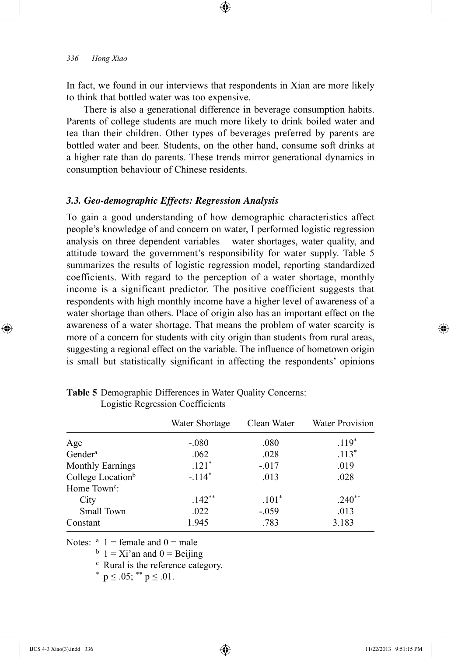In fact, we found in our interviews that respondents in Xian are more likely to think that bottled water was too expensive.

⊕

There is also a generational difference in beverage consumption habits. Parents of college students are much more likely to drink boiled water and tea than their children. Other types of beverages preferred by parents are bottled water and beer. Students, on the other hand, consume soft drinks at a higher rate than do parents. These trends mirror generational dynamics in consumption behaviour of Chinese residents.

#### *3.3. Geo-demographic Effects: Regression Analysis*

To gain a good understanding of how demographic characteristics affect people's knowledge of and concern on water, I performed logistic regression analysis on three dependent variables – water shortages, water quality, and attitude toward the government's responsibility for water supply. Table 5 summarizes the results of logistic regression model, reporting standardized coefficients. With regard to the perception of a water shortage, monthly income is a significant predictor. The positive coefficient suggests that respondents with high monthly income have a higher level of awareness of a water shortage than others. Place of origin also has an important effect on the awareness of a water shortage. That means the problem of water scarcity is more of a concern for students with city origin than students from rural areas, suggesting a regional effect on the variable. The influence of hometown origin is small but statistically significant in affecting the respondents' opinions

|                               | Water Shortage | Clean Water | <b>Water Provision</b> |
|-------------------------------|----------------|-------------|------------------------|
| Age                           | $-.080$        | .080        | $.119*$                |
| Gender <sup>a</sup>           | .062           | .028        | $.113*$                |
| <b>Monthly Earnings</b>       | $.121*$        | $-.017$     | .019                   |
| College Location <sup>b</sup> | $-.114*$       | .013        | .028                   |
| Home Town <sup>c</sup> :      |                |             |                        |
| City                          | $.142***$      | $.101*$     | $.240**$               |
| Small Town                    | .022           | $-.059$     | .013                   |
| Constant                      | 1.945          | .783        | 3.183                  |

#### **Table 5** Demographic Differences in Water Quality Concerns: Logistic Regression Coefficients

Notes:  $a \neq 1$  = female and  $0$  = male<br>  $b \neq 1$  = Xi'an and  $0$  = Beijing<br>
c Rural is the reference category.<br>  $\uparrow p \leq .05$ ; \*\*  $p \leq .01$ .

⊕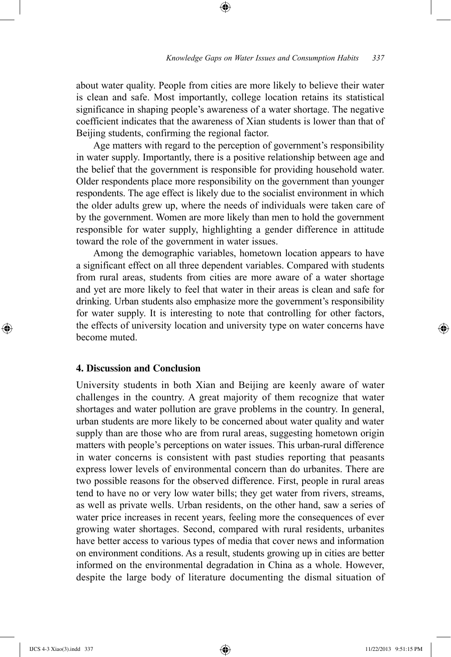about water quality. People from cities are more likely to believe their water is clean and safe. Most importantly, college location retains its statistical significance in shaping people's awareness of a water shortage. The negative coefficient indicates that the awareness of Xian students is lower than that of Beijing students, confirming the regional factor.

⊕

Age matters with regard to the perception of government's responsibility in water supply. Importantly, there is a positive relationship between age and the belief that the government is responsible for providing household water. Older respondents place more responsibility on the government than younger respondents. The age effect is likely due to the socialist environment in which the older adults grew up, where the needs of individuals were taken care of by the government. Women are more likely than men to hold the government responsible for water supply, highlighting a gender difference in attitude toward the role of the government in water issues.

Among the demographic variables, hometown location appears to have a significant effect on all three dependent variables. Compared with students from rural areas, students from cities are more aware of a water shortage and yet are more likely to feel that water in their areas is clean and safe for drinking. Urban students also emphasize more the government's responsibility for water supply. It is interesting to note that controlling for other factors, the effects of university location and university type on water concerns have become muted.

### **4. Discussion and Conclusion**

University students in both Xian and Beijing are keenly aware of water challenges in the country. A great majority of them recognize that water shortages and water pollution are grave problems in the country. In general, urban students are more likely to be concerned about water quality and water supply than are those who are from rural areas, suggesting hometown origin matters with people's perceptions on water issues. This urban-rural difference in water concerns is consistent with past studies reporting that peasants express lower levels of environmental concern than do urbanites. There are two possible reasons for the observed difference. First, people in rural areas tend to have no or very low water bills; they get water from rivers, streams, as well as private wells. Urban residents, on the other hand, saw a series of water price increases in recent years, feeling more the consequences of ever growing water shortages. Second, compared with rural residents, urbanites have better access to various types of media that cover news and information on environment conditions. As a result, students growing up in cities are better informed on the environmental degradation in China as a whole. However, despite the large body of literature documenting the dismal situation of

⊕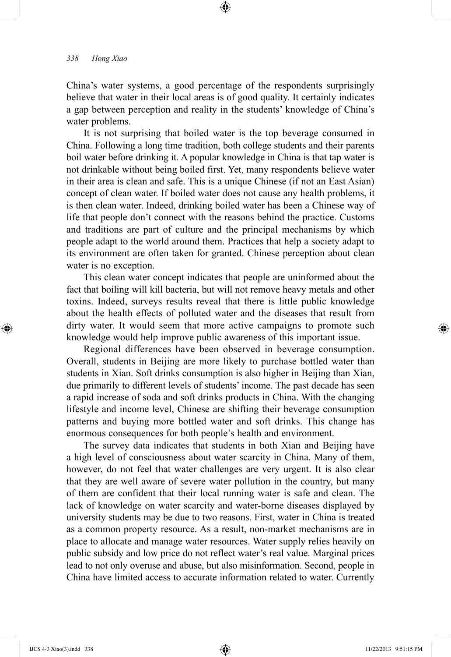#### *338 Hong Xiao*

China's water systems, a good percentage of the respondents surprisingly believe that water in their local areas is of good quality. It certainly indicates a gap between perception and reality in the students' knowledge of China's water problems.

⊕

It is not surprising that boiled water is the top beverage consumed in China. Following a long time tradition, both college students and their parents boil water before drinking it. A popular knowledge in China is that tap water is not drinkable without being boiled first. Yet, many respondents believe water in their area is clean and safe. This is a unique Chinese (if not an East Asian) concept of clean water. If boiled water does not cause any health problems, it is then clean water. Indeed, drinking boiled water has been a Chinese way of life that people don't connect with the reasons behind the practice. Customs and traditions are part of culture and the principal mechanisms by which people adapt to the world around them. Practices that help a society adapt to its environment are often taken for granted. Chinese perception about clean water is no exception.

This clean water concept indicates that people are uninformed about the fact that boiling will kill bacteria, but will not remove heavy metals and other toxins. Indeed, surveys results reveal that there is little public knowledge about the health effects of polluted water and the diseases that result from dirty water. It would seem that more active campaigns to promote such knowledge would help improve public awareness of this important issue.

Regional differences have been observed in beverage consumption. Overall, students in Beijing are more likely to purchase bottled water than students in Xian. Soft drinks consumption is also higher in Beijing than Xian, due primarily to different levels of students' income. The past decade has seen a rapid increase of soda and soft drinks products in China. With the changing lifestyle and income level, Chinese are shifting their beverage consumption patterns and buying more bottled water and soft drinks. This change has enormous consequences for both people's health and environment.

The survey data indicates that students in both Xian and Beijing have a high level of consciousness about water scarcity in China. Many of them, however, do not feel that water challenges are very urgent. It is also clear that they are well aware of severe water pollution in the country, but many of them are confident that their local running water is safe and clean. The lack of knowledge on water scarcity and water-borne diseases displayed by university students may be due to two reasons. First, water in China is treated as a common property resource. As a result, non-market mechanisms are in place to allocate and manage water resources. Water supply relies heavily on public subsidy and low price do not reflect water's real value. Marginal prices lead to not only overuse and abuse, but also misinformation. Second, people in China have limited access to accurate information related to water. Currently

⊕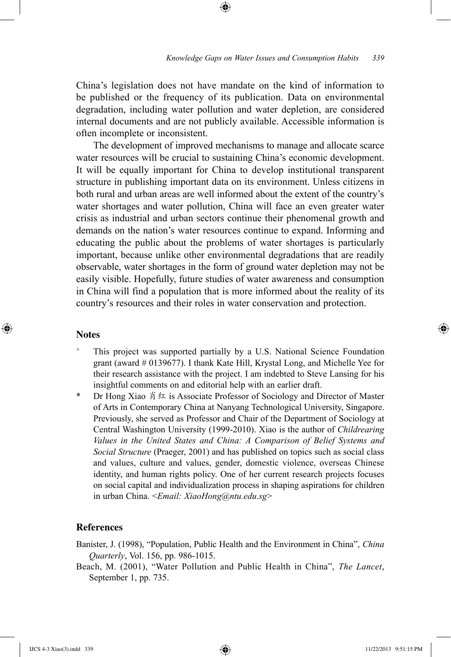China's legislation does not have mandate on the kind of information to be published or the frequency of its publication. Data on environmental degradation, including water pollution and water depletion, are considered internal documents and are not publicly available. Accessible information is often incomplete or inconsistent.

⊕

The development of improved mechanisms to manage and allocate scarce water resources will be crucial to sustaining China's economic development. It will be equally important for China to develop institutional transparent structure in publishing important data on its environment. Unless citizens in both rural and urban areas are well informed about the extent of the country's water shortages and water pollution, China will face an even greater water crisis as industrial and urban sectors continue their phenomenal growth and demands on the nation's water resources continue to expand. Informing and educating the public about the problems of water shortages is particularly important, because unlike other environmental degradations that are readily observable, water shortages in the form of ground water depletion may not be easily visible. Hopefully, future studies of water awareness and consumption in China will find a population that is more informed about the reality of its country's resources and their roles in water conservation and protection.

#### **Notes**

⊕

- This project was supported partially by a U.S. National Science Foundation grant (award # 0139677). I thank Kate Hill, Krystal Long, and Michelle Yee for their research assistance with the project. I am indebted to Steve Lansing for his insightful comments on and editorial help with an earlier draft.
- \* Dr Hong Xiao 肖红 is Associate Professor of Sociology and Director of Master of Arts in Contemporary China at Nanyang Technological University, Singapore. Previously, she served as Professor and Chair of the Department of Sociology at Central Washington University (1999-2010). Xiao is the author of *Childrearing Values in the United States and China: A Comparison of Belief Systems and Social Structure* (Praeger, 2001) and has published on topics such as social class and values, culture and values, gender, domestic violence, overseas Chinese identity, and human rights policy. One of her current research projects focuses on social capital and individualization process in shaping aspirations for children in urban China. <*Email: XiaoHong@ntu.edu.sg*>

#### **References**

Banister, J. (1998), "Population, Public Health and the Environment in China", *China Quarterly*, Vol. 156, pp. 986-1015.

Beach, M. (2001), "Water Pollution and Public Health in China", *The Lancet*, September 1, pp. 735.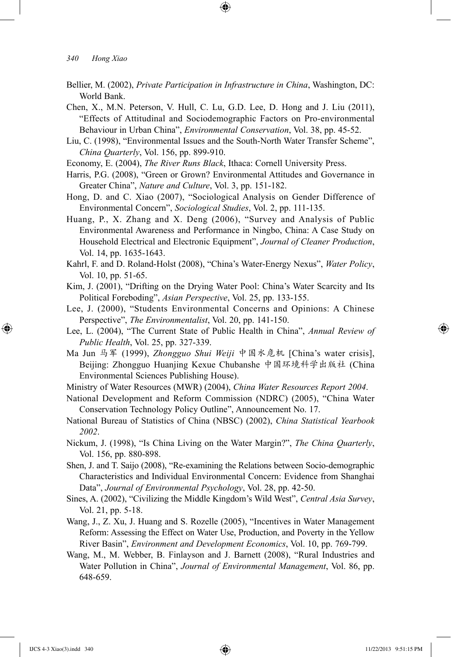*340 Hong Xiao* 

Bellier, M. (2002), *Private Participation in Infrastructure in China*, Washington, DC: World Bank.

⊕

- Chen, X., M.N. Peterson, V. Hull, C. Lu, G.D. Lee, D. Hong and J. Liu (2011), "Effects of Attitudinal and Sociodemographic Factors on Pro-environmental Behaviour in Urban China", *Environmental Conservation*, Vol. 38, pp. 45-52.
- Liu, C. (1998), "Environmental Issues and the South-North Water Transfer Scheme", *China Quarterly*, Vol. 156, pp. 899-910.
- Economy, E. (2004), *The River Runs Black*, Ithaca: Cornell University Press.
- Harris, P.G. (2008), "Green or Grown? Environmental Attitudes and Governance in Greater China", *Nature and Culture*, Vol. 3, pp. 151-182.
- Hong, D. and C. Xiao (2007), "Sociological Analysis on Gender Difference of Environmental Concern", *Sociological Studies*, Vol. 2, pp. 111-135.
- Huang, P., X. Zhang and X. Deng (2006), "Survey and Analysis of Public Environmental Awareness and Performance in Ningbo, China: A Case Study on Household Electrical and Electronic Equipment", *Journal of Cleaner Production*, Vol. 14, pp. 1635-1643.
- Kahrl, F. and D. Roland-Holst (2008), "China's Water-Energy Nexus", *Water Policy*, Vol. 10, pp. 51-65.
- Kim, J. (2001), "Drifting on the Drying Water Pool: China's Water Scarcity and Its Political Foreboding", *Asian Perspective*, Vol. 25, pp. 133-155.
- Lee, J. (2000), "Students Environmental Concerns and Opinions: A Chinese Perspective", *The Environmentalist*, Vol. 20, pp. 141-150.
- Lee, L. (2004), "The Current State of Public Health in China", *Annual Review of Public Health*, Vol. 25, pp. 327-339.
- Ma Jun 马军 (1999), *Zhongguo Shui Weiji* 中国水危机 [China's water crisis], Beijing: Zhongguo Huanjing Kexue Chubanshe 中国环境科学出版社 (China Environmental Sciences Publishing House).

Ministry of Water Resources (MWR) (2004), *China Water Resources Report 2004*.

- National Development and Reform Commission (NDRC) (2005), "China Water Conservation Technology Policy Outline", Announcement No. 17.
- National Bureau of Statistics of China (NBSC) (2002), *China Statistical Yearbook 2002*.
- Nickum, J. (1998), "Is China Living on the Water Margin?", *The China Quarterly*, Vol. 156, pp. 880-898.
- Shen, J. and T. Saijo (2008), "Re-examining the Relations between Socio-demographic Characteristics and Individual Environmental Concern: Evidence from Shanghai Data", *Journal of Environmental Psychology*, Vol. 28, pp. 42-50.
- Sines, A. (2002), "Civilizing the Middle Kingdom's Wild West", *Central Asia Survey*, Vol. 21, pp. 5-18.
- Wang, J., Z. Xu, J. Huang and S. Rozelle (2005), "Incentives in Water Management Reform: Assessing the Effect on Water Use, Production, and Poverty in the Yellow River Basin", *Environment and Development Economics*, Vol. 10, pp. 769-799.
- Wang, M., M. Webber, B. Finlayson and J. Barnett (2008), "Rural Industries and Water Pollution in China", *Journal of Environmental Management*, Vol. 86, pp. 648-659.

IJCS 4-3 Xiao(3).indd 340 11/22/2013 9:51:15 PM

⊕

↔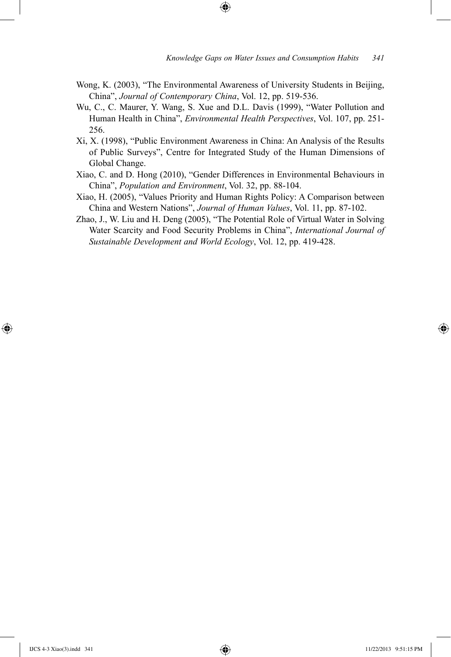Wong, K. (2003), "The Environmental Awareness of University Students in Beijing, China", *Journal of Contemporary China*, Vol. 12, pp. 519-536.

⊕

- Wu, C., C. Maurer, Y. Wang, S. Xue and D.L. Davis (1999), "Water Pollution and Human Health in China", *Environmental Health Perspectives*, Vol. 107, pp. 251- 256.
- Xi, X. (1998), "Public Environment Awareness in China: An Analysis of the Results of Public Surveys", Centre for Integrated Study of the Human Dimensions of Global Change.
- Xiao, C. and D. Hong (2010), "Gender Differences in Environmental Behaviours in China", *Population and Environment*, Vol. 32, pp. 88-104.
- Xiao, H. (2005), "Values Priority and Human Rights Policy: A Comparison between China and Western Nations", *Journal of Human Values*, Vol. 11, pp. 87-102.
- Zhao, J., W. Liu and H. Deng (2005), "The Potential Role of Virtual Water in Solving Water Scarcity and Food Security Problems in China", *International Journal of Sustainable Development and World Ecology*, Vol. 12, pp. 419-428.

⊕

↔